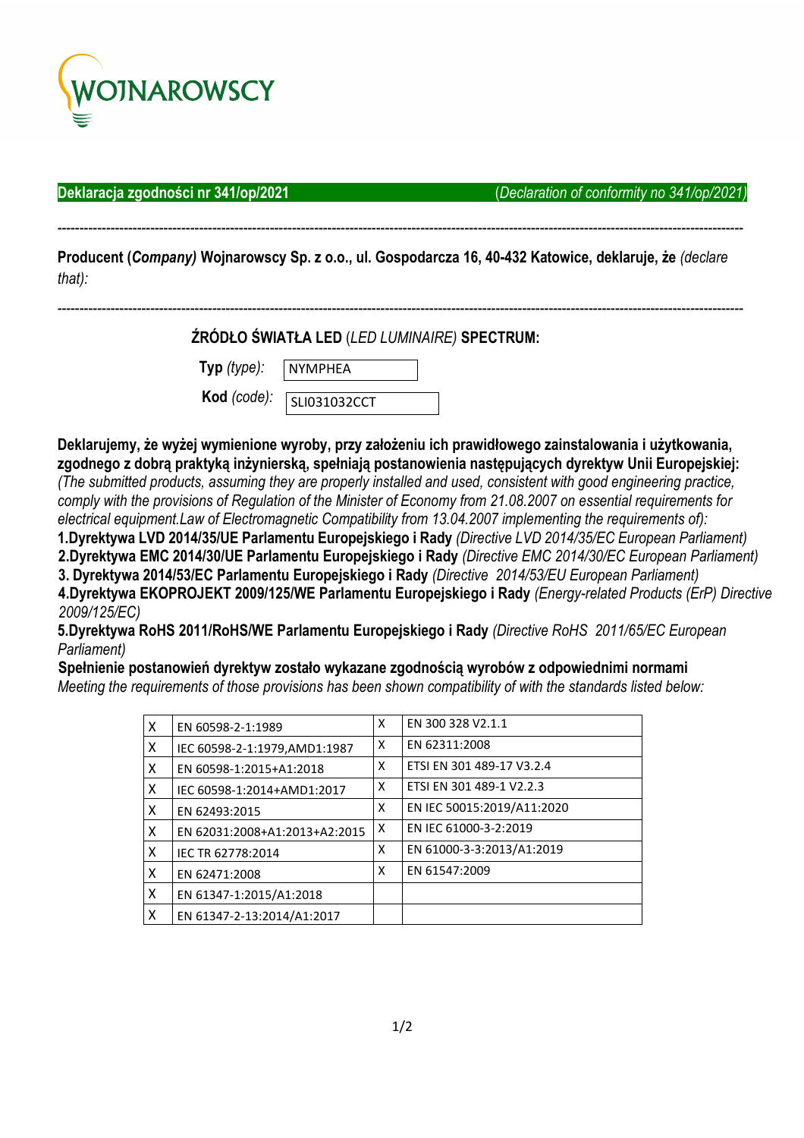

**Deklaracja zgodności nr 341/op/2021** (*Declaration of conformity no 341/op/2021)*

**Producent (***Company)* **Wojnarowscy Sp. z o.o., ul. Gospodarcza 16, 40-432 Katowice, deklaruje, że** *(declare that):*

-----------------------------------------------------------------------------------------------------------------------------------------------------------

-----------------------------------------------------------------------------------------------------------------------------------------------------------

**ŹRÓDŁO ŚWIATŁA LED** (*LED LUMINAIRE)* **SPECTRUM:** 

SLI031032CCT

 **Typ** *(type):* NYMPHEA

**Kod** *(code):*

**Deklarujemy, że wyżej wymienione wyroby, przy założeniu ich prawidłowego zainstalowania i użytkowania, zgodnego z dobrą praktyką inżynierską, spełniają postanowienia następujących dyrektyw Unii Europejskiej:**  *(The submitted products, assuming they are properly installed and used, consistent with good engineering practice,* 

*comply with the provisions of Regulation of the Minister of Economy from 21.08.2007 on essential requirements for electrical equipment.Law of Electromagnetic Compatibility from 13.04.2007 implementing the requirements of):* 

**1.Dyrektywa LVD 2014/35/UE Parlamentu Europejskiego i Rady** *(Directive LVD 2014/35/EC European Parliament)*   **2.Dyrektywa EMC 2014/30/UE Parlamentu Europejskiego i Rady** *(Directive EMC 2014/30/EC European Parliament)*

 **3. Dyrektywa 2014/53/EC Parlamentu Europejskiego i Rady** *(Directive 2014/53/EU European Parliament)*  **4.Dyrektywa EKOPROJEKT 2009/125/WE Parlamentu Europejskiego i Rady** *(Energy-related Products (ErP) Directive*  *2009/125/EC)* 

**5.Dyrektywa RoHS 2011/RoHS/WE Parlamentu Europejskiego i Rady** *(Directive RoHS 2011/65/EC European Parliament)* 

 **Spełnienie postanowień dyrektyw zostało wykazane zgodnością wyrobów z odpowiednimi normami** 

*Meeting the requirements of those provisions has been shown compatibility of with the standards listed below:* 

| X | EN 60598-2-1:1989             | x | EN 300 328 V2.1.1          |
|---|-------------------------------|---|----------------------------|
| x | IEC 60598-2-1:1979, AMD1:1987 | X | EN 62311:2008              |
| x | EN 60598-1:2015+A1:2018       | X | ETSI EN 301 489-17 V3.2.4  |
| x | IEC 60598-1:2014+AMD1:2017    | x | ETSI EN 301 489-1 V2.2.3   |
| x | EN 62493:2015                 | X | EN IEC 50015:2019/A11:2020 |
| x | EN 62031:2008+A1:2013+A2:2015 | X | EN IEC 61000-3-2:2019      |
| x | IEC TR 62778:2014             | x | EN 61000-3-3:2013/A1:2019  |
| X | EN 62471:2008                 | x | EN 61547:2009              |
| Χ | EN 61347-1:2015/A1:2018       |   |                            |
| x | EN 61347-2-13:2014/A1:2017    |   |                            |